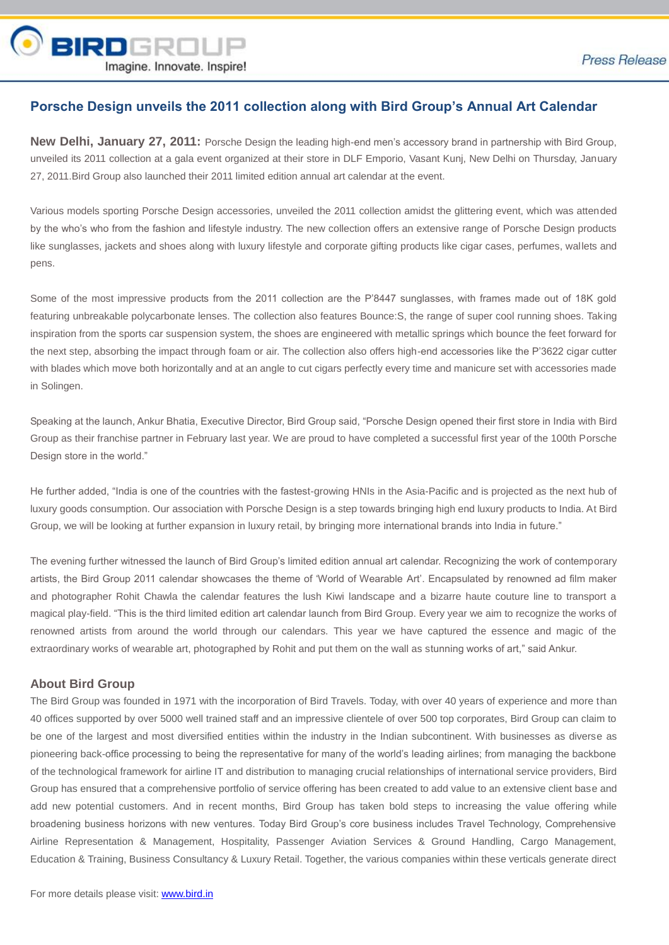

## **Porsche Design unveils the 2011 collection along with Bird Group's Annual Art Calendar**

**New Delhi, January 27, 2011:** Porsche Design the leading high-end men's accessory brand in partnership with Bird Group, unveiled its 2011 collection at a gala event organized at their store in DLF Emporio, Vasant Kunj, New Delhi on Thursday, January 27, 2011.Bird Group also launched their 2011 limited edition annual art calendar at the event.

Various models sporting Porsche Design accessories, unveiled the 2011 collection amidst the glittering event, which was attended by the who's who from the fashion and lifestyle industry. The new collection offers an extensive range of Porsche Design products like sunglasses, jackets and shoes along with luxury lifestyle and corporate gifting products like cigar cases, perfumes, wallets and pens.

Some of the most impressive products from the 2011 collection are the P'8447 sunglasses, with frames made out of 18K gold featuring unbreakable polycarbonate lenses. The collection also features Bounce:S, the range of super cool running shoes. Taking inspiration from the sports car suspension system, the shoes are engineered with metallic springs which bounce the feet forward for the next step, absorbing the impact through foam or air. The collection also offers high-end accessories like the P'3622 cigar cutter with blades which move both horizontally and at an angle to cut cigars perfectly every time and manicure set with accessories made in Solingen.

Speaking at the launch, Ankur Bhatia, Executive Director, Bird Group said, "Porsche Design opened their first store in India with Bird Group as their franchise partner in February last year. We are proud to have completed a successful first year of the 100th Porsche Design store in the world."

He further added, "India is one of the countries with the fastest-growing HNIs in the Asia-Pacific and is projected as the next hub of luxury goods consumption. Our association with Porsche Design is a step towards bringing high end luxury products to India. At Bird Group, we will be looking at further expansion in luxury retail, by bringing more international brands into India in future."

The evening further witnessed the launch of Bird Group's limited edition annual art calendar. Recognizing the work of contemporary artists, the Bird Group 2011 calendar showcases the theme of 'World of Wearable Art'. Encapsulated by renowned ad film maker and photographer Rohit Chawla the calendar features the lush Kiwi landscape and a bizarre haute couture line to transport a magical play-field. "This is the third limited edition art calendar launch from Bird Group. Every year we aim to recognize the works of renowned artists from around the world through our calendars. This year we have captured the essence and magic of the extraordinary works of wearable art, photographed by Rohit and put them on the wall as stunning works of art," said Ankur.

## **About Bird Group**

The Bird Group was founded in 1971 with the incorporation of Bird Travels. Today, with over 40 years of experience and more than 40 offices supported by over 5000 well trained staff and an impressive clientele of over 500 top corporates, Bird Group can claim to be one of the largest and most diversified entities within the industry in the Indian subcontinent. With businesses as diverse as pioneering back-office processing to being the representative for many of the world's leading airlines; from managing the backbone of the technological framework for airline IT and distribution to managing crucial relationships of international service providers, Bird Group has ensured that a comprehensive portfolio of service offering has been created to add value to an extensive client base and add new potential customers. And in recent months, Bird Group has taken bold steps to increasing the value offering while broadening business horizons with new ventures. Today Bird Group's core business includes Travel Technology, Comprehensive Airline Representation & Management, Hospitality, Passenger Aviation Services & Ground Handling, Cargo Management, Education & Training, Business Consultancy & Luxury Retail. Together, the various companies within these verticals generate direct